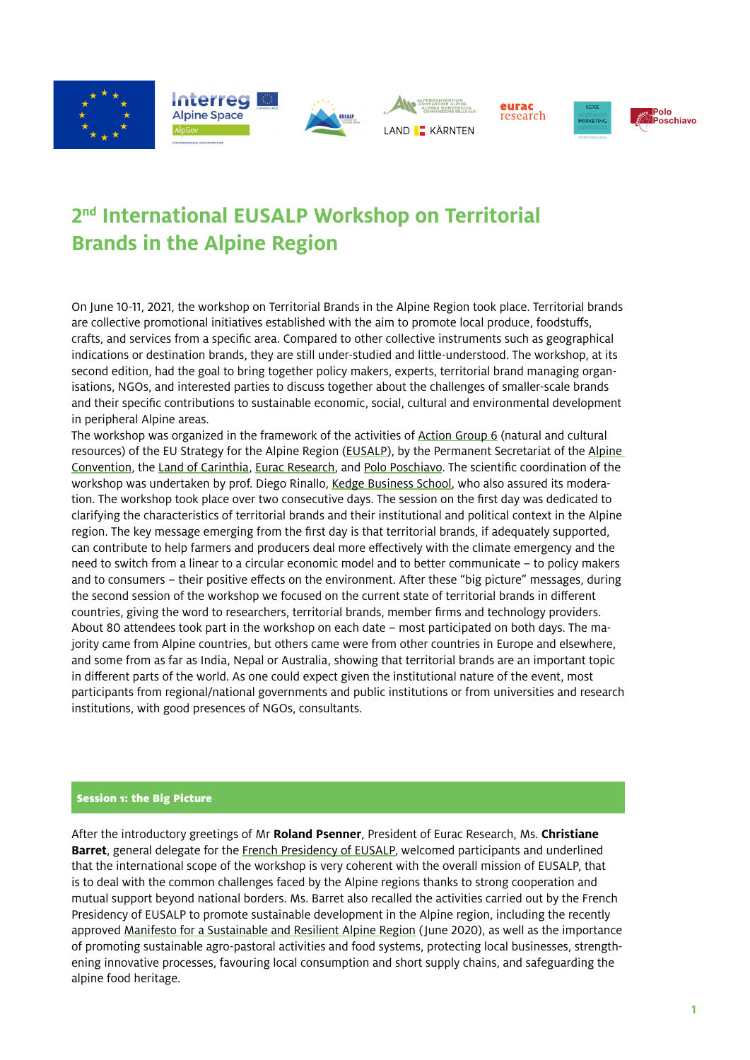

# **2nd International EUSALP Workshop on Territorial Brands in the Alpine Region**

On June 10-11, 2021, the workshop on Territorial Brands in the Alpine Region took place. Territorial brands are collective promotional initiatives established with the aim to promote local produce, foodstuffs, crafts, and services from a specific area. Compared to other collective instruments such as geographical indications or destination brands, they are still under-studied and little-understood. The workshop, at its second edition, had the goal to bring together policy makers, experts, territorial brand managing organisations, NGOs, and interested parties to discuss together about the challenges of smaller-scale brands and their specific contributions to sustainable economic, social, cultural and environmental development in peripheral Alpine areas.

The workshop was organized in the framework of the activities of [Action Group 6](http://www.alpine-region.eu/action-group-6) (natural and cultural resources) of the EU Strategy for the Alpine Region ([EUSALP](http://www.alpine-region.eu)), by the Permanent Secretariat of the Alpine [Convention,](http://www.alpconv.org/en/) the [Land of Carinthia,](https://www.ktn.gv.at) [Eurac Research,](https://www.eurac.edu/en/pages/default.aspx) and [Polo Poschiavo](https://polo-poschiavo.ch). The scientific coordination of the workshop was undertaken by prof. Diego Rinallo, [Kedge Business School](https://kedge.edu), who also assured its moderation. The workshop took place over two consecutive days. The session on the first day was dedicated to clarifying the characteristics of territorial brands and their institutional and political context in the Alpine region. The key message emerging from the first day is that territorial brands, if adequately supported, can contribute to help farmers and producers deal more effectively with the climate emergency and the need to switch from a linear to a circular economic model and to better communicate – to policy makers and to consumers – their positive effects on the environment. After these "big picture" messages, during the second session of the workshop we focused on the current state of territorial brands in different countries, giving the word to researchers, territorial brands, member firms and technology providers. About 80 attendees took part in the workshop on each date – most participated on both days. The majority came from Alpine countries, but others came were from other countries in Europe and elsewhere, and some from as far as India, Nepal or Australia, showing that territorial brands are an important topic in different parts of the world. As one could expect given the institutional nature of the event, most participants from regional/national governments and public institutions or from universities and research institutions, with good presences of NGOs, consultants.

## Session 1: the Big Picture

After the introductory greetings of Mr **Roland Psenner**, President of Eurac Research, Ms. **Christiane Barret**, general delegate for the [French Presidency of EUSALP](https://www.alpine-region.eu/french-presidency-2020-2021), welcomed participants and underlined that the international scope of the workshop is very coherent with the overall mission of EUSALP, that is to deal with the common challenges faced by the Alpine regions thanks to strong cooperation and mutual support beyond national borders. Ms. Barret also recalled the activities carried out by the French Presidency of EUSALP to promote sustainable development in the Alpine region, including the recently approved [Manifesto for a Sustainable and Resilient Alpine Region](https://www.alpine-region.eu/news/eusalp-manifesto) (June 2020), as well as the importance of promoting sustainable agro-pastoral activities and food systems, protecting local businesses, strengthening innovative processes, favouring local consumption and short supply chains, and safeguarding the alpine food heritage.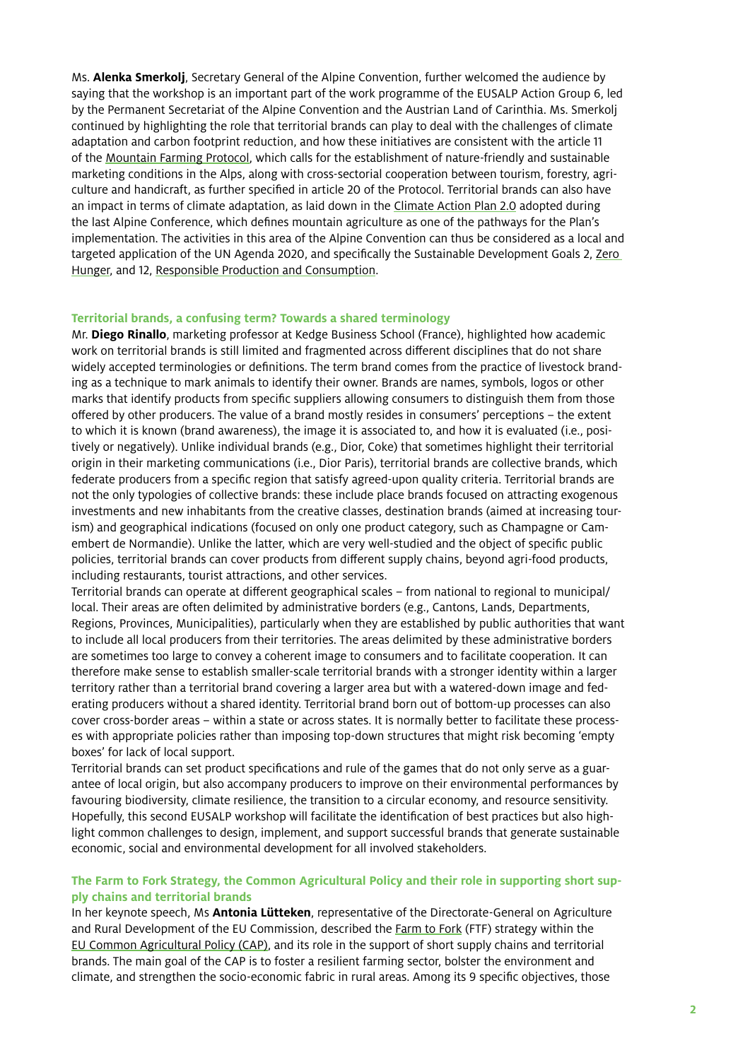Ms. **Alenka Smerkolj**, Secretary General of the Alpine Convention, further welcomed the audience by saying that the workshop is an important part of the work programme of the EUSALP Action Group 6, led by the Permanent Secretariat of the Alpine Convention and the Austrian Land of Carinthia. Ms. Smerkolj continued by highlighting the role that territorial brands can play to deal with the challenges of climate adaptation and carbon footprint reduction, and how these initiatives are consistent with the article 11 of the [Mountain Farming Protocol,](https://www.alpconv.org/fileadmin/user_upload/Convention/EN/Protocol_Mountain_Farming_EN.pdf) which calls for the establishment of nature-friendly and sustainable marketing conditions in the Alps, along with cross-sectorial cooperation between tourism, forestry, agriculture and handicraft, as further specified in article 20 of the Protocol. Territorial brands can also have an impact in terms of climate adaptation, as laid down in the [Climate Action Plan 2.0](https://alpineclimate2050.org/climateactionplan20/) adopted during the last Alpine Conference, which defines mountain agriculture as one of the pathways for the Plan's implementation. The activities in this area of the Alpine Convention can thus be considered as a local and targeted application of the UN Agenda 2020, and specifically the Sustainable Development Goals 2, Zero [Hunger](https://www.globalgoals.org/2-zero-hunger), and 12, [Responsible Production and Consumption](https://www.globalgoals.org/12-responsible-consumption-and-production).

#### **Territorial brands, a confusing term? Towards a shared terminology**

Mr. **Diego Rinallo**, marketing professor at Kedge Business School (France), highlighted how academic work on territorial brands is still limited and fragmented across different disciplines that do not share widely accepted terminologies or definitions. The term brand comes from the practice of livestock branding as a technique to mark animals to identify their owner. Brands are names, symbols, logos or other marks that identify products from specific suppliers allowing consumers to distinguish them from those offered by other producers. The value of a brand mostly resides in consumers' perceptions – the extent to which it is known (brand awareness), the image it is associated to, and how it is evaluated (i.e., positively or negatively). Unlike individual brands (e.g., Dior, Coke) that sometimes highlight their territorial origin in their marketing communications (i.e., Dior Paris), territorial brands are collective brands, which federate producers from a specific region that satisfy agreed-upon quality criteria. Territorial brands are not the only typologies of collective brands: these include place brands focused on attracting exogenous investments and new inhabitants from the creative classes, destination brands (aimed at increasing tourism) and geographical indications (focused on only one product category, such as Champagne or Camembert de Normandie). Unlike the latter, which are very well-studied and the object of specific public policies, territorial brands can cover products from different supply chains, beyond agri-food products, including restaurants, tourist attractions, and other services.

Territorial brands can operate at different geographical scales – from national to regional to municipal/ local. Their areas are often delimited by administrative borders (e.g., Cantons, Lands, Departments, Regions, Provinces, Municipalities), particularly when they are established by public authorities that want to include all local producers from their territories. The areas delimited by these administrative borders are sometimes too large to convey a coherent image to consumers and to facilitate cooperation. It can therefore make sense to establish smaller-scale territorial brands with a stronger identity within a larger territory rather than a territorial brand covering a larger area but with a watered-down image and federating producers without a shared identity. Territorial brand born out of bottom-up processes can also cover cross-border areas – within a state or across states. It is normally better to facilitate these processes with appropriate policies rather than imposing top-down structures that might risk becoming 'empty boxes' for lack of local support.

Territorial brands can set product specifications and rule of the games that do not only serve as a guarantee of local origin, but also accompany producers to improve on their environmental performances by favouring biodiversity, climate resilience, the transition to a circular economy, and resource sensitivity. Hopefully, this second EUSALP workshop will facilitate the identification of best practices but also highlight common challenges to design, implement, and support successful brands that generate sustainable economic, social and environmental development for all involved stakeholders.

## **The Farm to Fork Strategy, the Common Agricultural Policy and their role in supporting short supply chains and territorial brands**

In her keynote speech, Ms **Antonia Lütteken**, representative of the Directorate-General on Agriculture and Rural Development of the EU Commission, described the [Farm to Fork](https://ec.europa.eu/food/horizontal-topics/farm-fork-strategy_it) (FTF) strategy within the [EU Common Agricultural Policy \(CAP\),](https://ec.europa.eu/info/food-farming-fisheries/key-policies/common-agricultural-policy_en) and its role in the support of short supply chains and territorial brands. The main goal of the CAP is to foster a resilient farming sector, bolster the environment and climate, and strengthen the socio-economic fabric in rural areas. Among its 9 specific objectives, those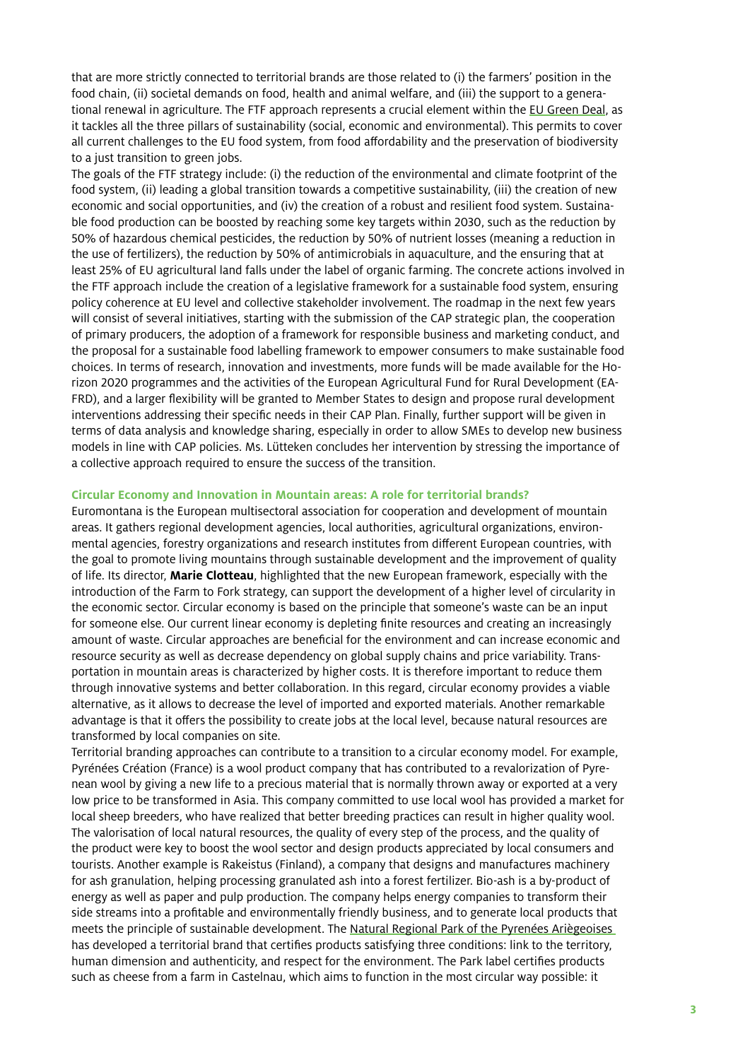that are more strictly connected to territorial brands are those related to (i) the farmers' position in the food chain, (ii) societal demands on food, health and animal welfare, and (iii) the support to a generational renewal in agriculture. The FTF approach represents a crucial element within the [EU Green Deal,](https://ec.europa.eu/info/strategy/priorities-2019-2024/european-green-deal_en) as it tackles all the three pillars of sustainability (social, economic and environmental). This permits to cover all current challenges to the EU food system, from food affordability and the preservation of biodiversity to a just transition to green jobs.

The goals of the FTF strategy include: (i) the reduction of the environmental and climate footprint of the food system, (ii) leading a global transition towards a competitive sustainability, (iii) the creation of new economic and social opportunities, and (iv) the creation of a robust and resilient food system. Sustainable food production can be boosted by reaching some key targets within 2030, such as the reduction by 50% of hazardous chemical pesticides, the reduction by 50% of nutrient losses (meaning a reduction in the use of fertilizers), the reduction by 50% of antimicrobials in aquaculture, and the ensuring that at least 25% of EU agricultural land falls under the label of organic farming. The concrete actions involved in the FTF approach include the creation of a legislative framework for a sustainable food system, ensuring policy coherence at EU level and collective stakeholder involvement. The roadmap in the next few years will consist of several initiatives, starting with the submission of the CAP strategic plan, the cooperation of primary producers, the adoption of a framework for responsible business and marketing conduct, and the proposal for a sustainable food labelling framework to empower consumers to make sustainable food choices. In terms of research, innovation and investments, more funds will be made available for the Horizon 2020 programmes and the activities of the European Agricultural Fund for Rural Development (EA-FRD), and a larger flexibility will be granted to Member States to design and propose rural development interventions addressing their specific needs in their CAP Plan. Finally, further support will be given in terms of data analysis and knowledge sharing, especially in order to allow SMEs to develop new business models in line with CAP policies. Ms. Lütteken concludes her intervention by stressing the importance of a collective approach required to ensure the success of the transition.

### **Circular Economy and Innovation in Mountain areas: A role for territorial brands?**

Euromontana is the European multisectoral association for cooperation and development of mountain areas. It gathers regional development agencies, local authorities, agricultural organizations, environmental agencies, forestry organizations and research institutes from different European countries, with the goal to promote living mountains through sustainable development and the improvement of quality of life. Its director, **Marie Clotteau**, highlighted that the new European framework, especially with the introduction of the Farm to Fork strategy, can support the development of a higher level of circularity in the economic sector. Circular economy is based on the principle that someone's waste can be an input for someone else. Our current linear economy is depleting finite resources and creating an increasingly amount of waste. Circular approaches are beneficial for the environment and can increase economic and resource security as well as decrease dependency on global supply chains and price variability. Transportation in mountain areas is characterized by higher costs. It is therefore important to reduce them through innovative systems and better collaboration. In this regard, circular economy provides a viable alternative, as it allows to decrease the level of imported and exported materials. Another remarkable advantage is that it offers the possibility to create jobs at the local level, because natural resources are transformed by local companies on site.

Territorial branding approaches can contribute to a transition to a circular economy model. For example, Pyrénées Création (France) is a wool product company that has contributed to a revalorization of Pyrenean wool by giving a new life to a precious material that is normally thrown away or exported at a very low price to be transformed in Asia. This company committed to use local wool has provided a market for local sheep breeders, who have realized that better breeding practices can result in higher quality wool. The valorisation of local natural resources, the quality of every step of the process, and the quality of the product were key to boost the wool sector and design products appreciated by local consumers and tourists. Another example is Rakeistus (Finland), a company that designs and manufactures machinery for ash granulation, helping processing granulated ash into a forest fertilizer. Bio-ash is a by-product of energy as well as paper and pulp production. The company helps energy companies to transform their side streams into a profitable and environmentally friendly business, and to generate local products that meets the principle of sustainable development. The [Natural Regional Park of the Pyrenées Ariègeoises](https://www.parc-pyrenees-ariegeoises.fr)  has developed a territorial brand that certifies products satisfying three conditions: link to the territory, human dimension and authenticity, and respect for the environment. The Park label certifies products such as cheese from a farm in Castelnau, which aims to function in the most circular way possible: it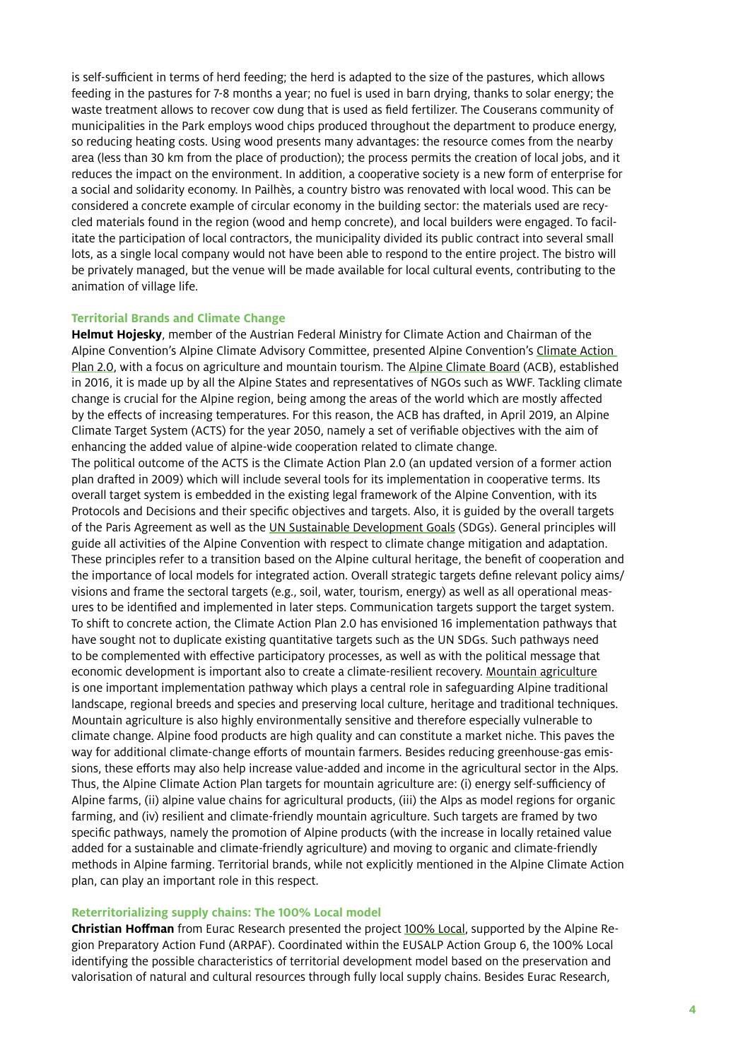is self-sufficient in terms of herd feeding; the herd is adapted to the size of the pastures, which allows feeding in the pastures for 7-8 months a year; no fuel is used in barn drying, thanks to solar energy; the waste treatment allows to recover cow dung that is used as field fertilizer. The Couserans community of municipalities in the Park employs wood chips produced throughout the department to produce energy, so reducing heating costs. Using wood presents many advantages: the resource comes from the nearby area (less than 30 km from the place of production); the process permits the creation of local jobs, and it reduces the impact on the environment. In addition, a cooperative society is a new form of enterprise for a social and solidarity economy. In Pailhès, a country bistro was renovated with local wood. This can be considered a concrete example of circular economy in the building sector: the materials used are recycled materials found in the region (wood and hemp concrete), and local builders were engaged. To facilitate the participation of local contractors, the municipality divided its public contract into several small lots, as a single local company would not have been able to respond to the entire project. The bistro will be privately managed, but the venue will be made available for local cultural events, contributing to the animation of village life.

## **Territorial Brands and Climate Change**

**Helmut Hojesky**, member of the Austrian Federal Ministry for Climate Action and Chairman of the Alpine Convention's Alpine Climate Advisory Committee, presented Alpine Convention's [Climate Action](https://alpineclimate2050.org/climateactionplan20/)  [Plan 2.0](https://alpineclimate2050.org/climateactionplan20/), with a focus on agriculture and mountain tourism. The [Alpine Climate Board](https://alpineclimate2050.org) (ACB), established in 2016, it is made up by all the Alpine States and representatives of NGOs such as WWF. Tackling climate change is crucial for the Alpine region, being among the areas of the world which are mostly affected by the effects of increasing temperatures. For this reason, the ACB has drafted, in April 2019, an Alpine Climate Target System (ACTS) for the year 2050, namely a set of verifiable objectives with the aim of enhancing the added value of alpine-wide cooperation related to climate change.

The political outcome of the ACTS is the Climate Action Plan 2.0 (an updated version of a former action plan drafted in 2009) which will include several tools for its implementation in cooperative terms. Its overall target system is embedded in the existing legal framework of the Alpine Convention, with its Protocols and Decisions and their specific objectives and targets. Also, it is guided by the overall targets of the Paris Agreement as well as the [UN Sustainable Development Goals](https://sdgs.un.org/goals) (SDGs). General principles will guide all activities of the Alpine Convention with respect to climate change mitigation and adaptation. These principles refer to a transition based on the Alpine cultural heritage, the benefit of cooperation and the importance of local models for integrated action. Overall strategic targets define relevant policy aims/ visions and frame the sectoral targets (e.g., soil, water, tourism, energy) as well as all operational measures to be identified and implemented in later steps. Communication targets support the target system. To shift to concrete action, the Climate Action Plan 2.0 has envisioned 16 implementation pathways that have sought not to duplicate existing quantitative targets such as the UN SDGs. Such pathways need to be complemented with effective participatory processes, as well as with the political message that economic development is important also to create a climate-resilient recovery. [Mountain agriculture](https://alpineclimate2050.org/pathways/mountain-agriculture/) is one important implementation pathway which plays a central role in safeguarding Alpine traditional landscape, regional breeds and species and preserving local culture, heritage and traditional techniques. Mountain agriculture is also highly environmentally sensitive and therefore especially vulnerable to climate change. Alpine food products are high quality and can constitute a market niche. This paves the way for additional climate-change efforts of mountain farmers. Besides reducing greenhouse-gas emissions, these efforts may also help increase value-added and income in the agricultural sector in the Alps. Thus, the Alpine Climate Action Plan targets for mountain agriculture are: (i) energy self-sufficiency of Alpine farms, (ii) alpine value chains for agricultural products, (iii) the Alps as model regions for organic farming, and (iv) resilient and climate-friendly mountain agriculture. Such targets are framed by two specific pathways, namely the promotion of Alpine products (with the increase in locally retained value added for a sustainable and climate-friendly agriculture) and moving to organic and climate-friendly methods in Alpine farming. Territorial brands, while not explicitly mentioned in the Alpine Climate Action plan, can play an important role in this respect.

### **Reterritorializing supply chains: The 100% Local model**

**Christian Hoffman** from Eurac Research presented the project [100% Local](https://100local.eu), supported by the Alpine Region Preparatory Action Fund (ARPAF). Coordinated within the EUSALP Action Group 6, the 100% Local identifying the possible characteristics of territorial development model based on the preservation and valorisation of natural and cultural resources through fully local supply chains. Besides Eurac Research,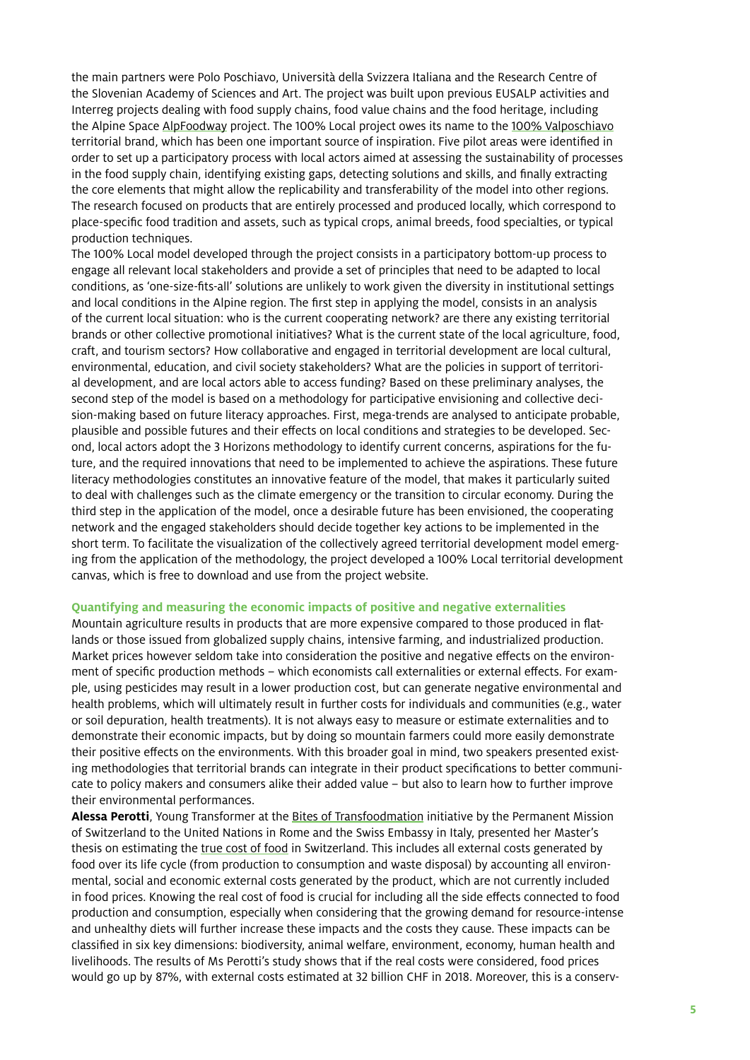the main partners were Polo Poschiavo, Università della Svizzera Italiana and the Research Centre of the Slovenian Academy of Sciences and Art. The project was built upon previous EUSALP activities and Interreg projects dealing with food supply chains, food value chains and the food heritage, including the Alpine Space [AlpFoodway](https://www.alpine-space.eu/projects/alpfoodway/en/home) project. The 100% Local project owes its name to the [100% Valposchiavo](https://www.valposchiavo.ch/en/experience/100-valposchiavo/logos/247-100-valposchiavo) territorial brand, which has been one important source of inspiration. Five pilot areas were identified in order to set up a participatory process with local actors aimed at assessing the sustainability of processes in the food supply chain, identifying existing gaps, detecting solutions and skills, and finally extracting the core elements that might allow the replicability and transferability of the model into other regions. The research focused on products that are entirely processed and produced locally, which correspond to place-specific food tradition and assets, such as typical crops, animal breeds, food specialties, or typical production techniques.

The 100% Local model developed through the project consists in a participatory bottom-up process to engage all relevant local stakeholders and provide a set of principles that need to be adapted to local conditions, as 'one-size-fits-all' solutions are unlikely to work given the diversity in institutional settings and local conditions in the Alpine region. The first step in applying the model, consists in an analysis of the current local situation: who is the current cooperating network? are there any existing territorial brands or other collective promotional initiatives? What is the current state of the local agriculture, food, craft, and tourism sectors? How collaborative and engaged in territorial development are local cultural, environmental, education, and civil society stakeholders? What are the policies in support of territorial development, and are local actors able to access funding? Based on these preliminary analyses, the second step of the model is based on a methodology for participative envisioning and collective decision-making based on future literacy approaches. First, mega-trends are analysed to anticipate probable, plausible and possible futures and their effects on local conditions and strategies to be developed. Second, local actors adopt the 3 Horizons methodology to identify current concerns, aspirations for the future, and the required innovations that need to be implemented to achieve the aspirations. These future literacy methodologies constitutes an innovative feature of the model, that makes it particularly suited to deal with challenges such as the climate emergency or the transition to circular economy. During the third step in the application of the model, once a desirable future has been envisioned, the cooperating network and the engaged stakeholders should decide together key actions to be implemented in the short term. To facilitate the visualization of the collectively agreed territorial development model emerging from the application of the methodology, the project developed a 100% Local territorial development canvas, which is free to download and use from the project website.

## **Quantifying and measuring the economic impacts of positive and negative externalities**

Mountain agriculture results in products that are more expensive compared to those produced in flatlands or those issued from globalized supply chains, intensive farming, and industrialized production. Market prices however seldom take into consideration the positive and negative effects on the environment of specific production methods – which economists call externalities or external effects. For example, using pesticides may result in a lower production cost, but can generate negative environmental and health problems, which will ultimately result in further costs for individuals and communities (e.g., water or soil depuration, health treatments). It is not always easy to measure or estimate externalities and to demonstrate their economic impacts, but by doing so mountain farmers could more easily demonstrate their positive effects on the environments. With this broader goal in mind, two speakers presented existing methodologies that territorial brands can integrate in their product specifications to better communicate to policy makers and consumers alike their added value – but also to learn how to further improve their environmental performances.

**Alessa Perotti**, Young Transformer at the [Bites of Transfoodmation](https://transfoodmation.com/it/) initiative by the Permanent Mission of Switzerland to the United Nations in Rome and the Swiss Embassy in Italy, presented her Master's thesis on estimating the [true cost of food](https://ethz.ch/content/dam/ethz/special-interest/dual/worldfoodsystemcenter-dam/documents/MScThesis-AlessaPerotti-TheTrueCostofFood.pdf) in Switzerland. This includes all external costs generated by food over its life cycle (from production to consumption and waste disposal) by accounting all environmental, social and economic external costs generated by the product, which are not currently included in food prices. Knowing the real cost of food is crucial for including all the side effects connected to food production and consumption, especially when considering that the growing demand for resource-intense and unhealthy diets will further increase these impacts and the costs they cause. These impacts can be classified in six key dimensions: biodiversity, animal welfare, environment, economy, human health and livelihoods. The results of Ms Perotti's study shows that if the real costs were considered, food prices would go up by 87%, with external costs estimated at 32 billion CHF in 2018. Moreover, this is a conserv-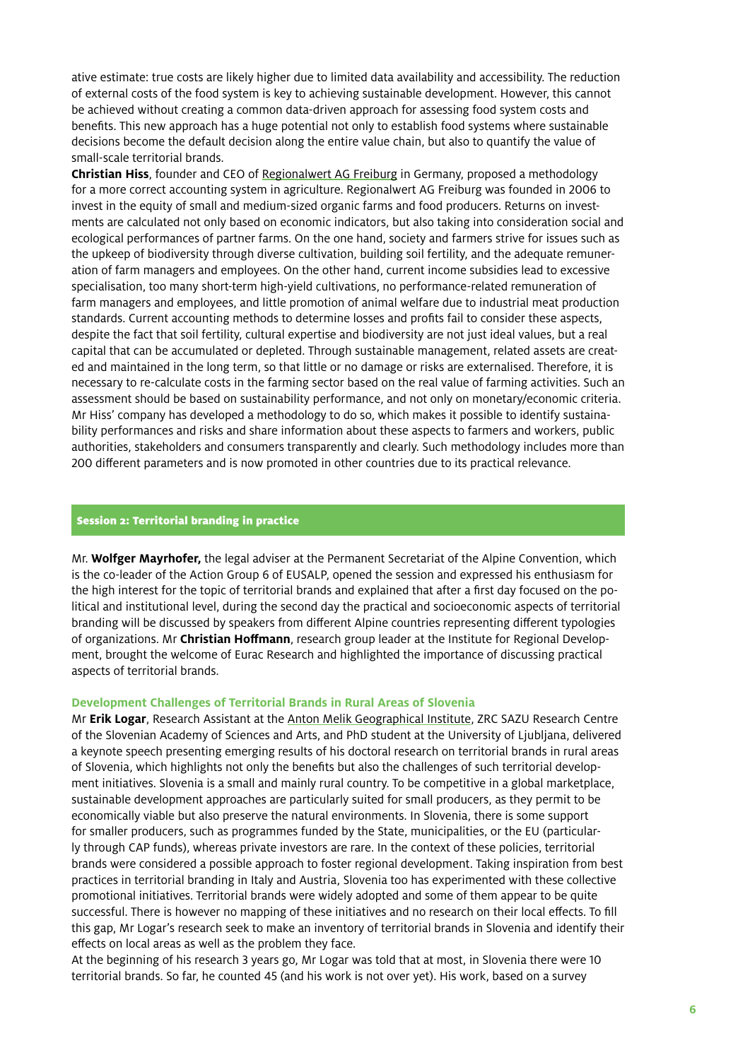ative estimate: true costs are likely higher due to limited data availability and accessibility. The reduction of external costs of the food system is key to achieving sustainable development. However, this cannot be achieved without creating a common data-driven approach for assessing food system costs and benefits. This new approach has a huge potential not only to establish food systems where sustainable decisions become the default decision along the entire value chain, but also to quantify the value of small-scale territorial brands.

**Christian Hiss**, founder and CEO of [Regionalwert AG Freiburg](https://www.regionalwert-ag.de) in Germany, proposed a methodology for a more correct accounting system in agriculture. Regionalwert AG Freiburg was founded in 2006 to invest in the equity of small and medium-sized organic farms and food producers. Returns on investments are calculated not only based on economic indicators, but also taking into consideration social and ecological performances of partner farms. On the one hand, society and farmers strive for issues such as the upkeep of biodiversity through diverse cultivation, building soil fertility, and the adequate remuneration of farm managers and employees. On the other hand, current income subsidies lead to excessive specialisation, too many short-term high-yield cultivations, no performance-related remuneration of farm managers and employees, and little promotion of animal welfare due to industrial meat production standards. Current accounting methods to determine losses and profits fail to consider these aspects, despite the fact that soil fertility, cultural expertise and biodiversity are not just ideal values, but a real capital that can be accumulated or depleted. Through sustainable management, related assets are created and maintained in the long term, so that little or no damage or risks are externalised. Therefore, it is necessary to re-calculate costs in the farming sector based on the real value of farming activities. Such an assessment should be based on sustainability performance, and not only on monetary/economic criteria. Mr Hiss' company has developed a methodology to do so, which makes it possible to identify sustainability performances and risks and share information about these aspects to farmers and workers, public authorities, stakeholders and consumers transparently and clearly. Such methodology includes more than 200 different parameters and is now promoted in other countries due to its practical relevance.

## Session 2: Territorial branding in practice

Mr. **Wolfger Mayrhofer,** the legal adviser at the Permanent Secretariat of the Alpine Convention, which is the co-leader of the Action Group 6 of EUSALP, opened the session and expressed his enthusiasm for the high interest for the topic of territorial brands and explained that after a first day focused on the political and institutional level, during the second day the practical and socioeconomic aspects of territorial branding will be discussed by speakers from different Alpine countries representing different typologies of organizations. Mr **Christian Hoffmann**, research group leader at the Institute for Regional Development, brought the welcome of Eurac Research and highlighted the importance of discussing practical aspects of territorial brands.

#### **Development Challenges of Territorial Brands in Rural Areas of Slovenia**

Mr **Erik Logar**, Research Assistant at the [Anton Melik Geographical Institute,](https://giam.zrc-sazu.si/en/predstavitev#v) ZRC SAZU Research Centre of the Slovenian Academy of Sciences and Arts, and PhD student at the University of Ljubljana, delivered a keynote speech presenting emerging results of his doctoral research on territorial brands in rural areas of Slovenia, which highlights not only the benefits but also the challenges of such territorial development initiatives. Slovenia is a small and mainly rural country. To be competitive in a global marketplace, sustainable development approaches are particularly suited for small producers, as they permit to be economically viable but also preserve the natural environments. In Slovenia, there is some support for smaller producers, such as programmes funded by the State, municipalities, or the EU (particularly through CAP funds), whereas private investors are rare. In the context of these policies, territorial brands were considered a possible approach to foster regional development. Taking inspiration from best practices in territorial branding in Italy and Austria, Slovenia too has experimented with these collective promotional initiatives. Territorial brands were widely adopted and some of them appear to be quite successful. There is however no mapping of these initiatives and no research on their local effects. To fill this gap, Mr Logar's research seek to make an inventory of territorial brands in Slovenia and identify their effects on local areas as well as the problem they face.

At the beginning of his research 3 years go, Mr Logar was told that at most, in Slovenia there were 10 territorial brands. So far, he counted 45 (and his work is not over yet). His work, based on a survey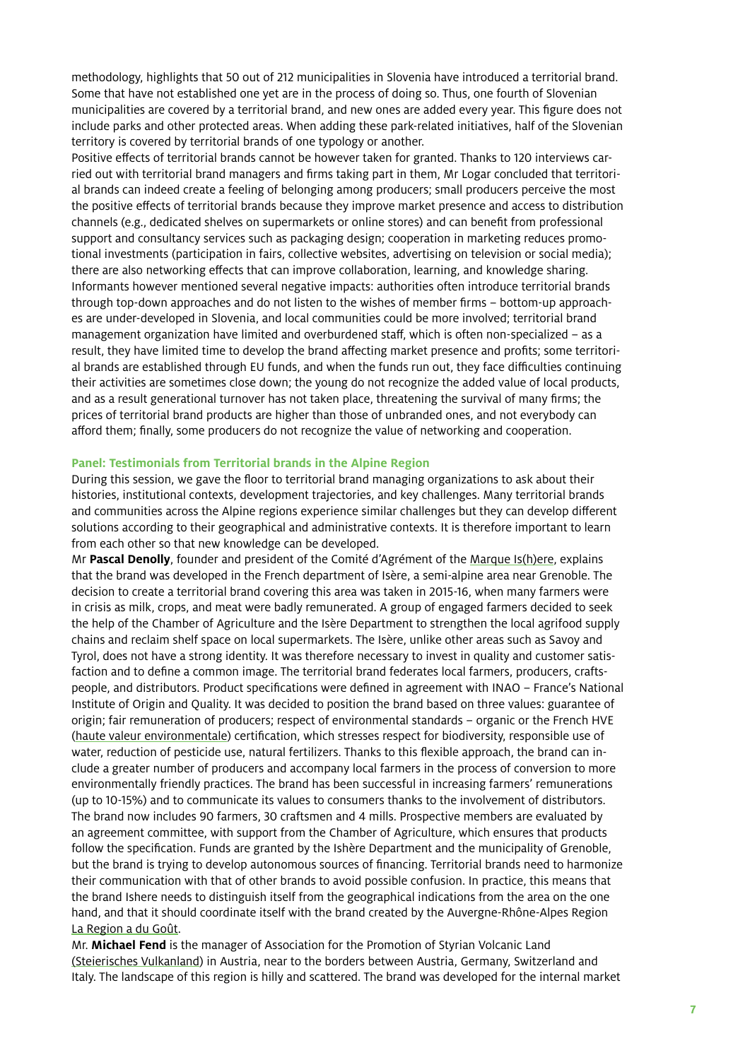methodology, highlights that 50 out of 212 municipalities in Slovenia have introduced a territorial brand. Some that have not established one yet are in the process of doing so. Thus, one fourth of Slovenian municipalities are covered by a territorial brand, and new ones are added every year. This figure does not include parks and other protected areas. When adding these park-related initiatives, half of the Slovenian territory is covered by territorial brands of one typology or another.

Positive effects of territorial brands cannot be however taken for granted. Thanks to 120 interviews carried out with territorial brand managers and firms taking part in them, Mr Logar concluded that territorial brands can indeed create a feeling of belonging among producers; small producers perceive the most the positive effects of territorial brands because they improve market presence and access to distribution channels (e.g., dedicated shelves on supermarkets or online stores) and can benefit from professional support and consultancy services such as packaging design; cooperation in marketing reduces promotional investments (participation in fairs, collective websites, advertising on television or social media); there are also networking effects that can improve collaboration, learning, and knowledge sharing. Informants however mentioned several negative impacts: authorities often introduce territorial brands through top-down approaches and do not listen to the wishes of member firms – bottom-up approaches are under-developed in Slovenia, and local communities could be more involved; territorial brand management organization have limited and overburdened staff, which is often non-specialized – as a result, they have limited time to develop the brand affecting market presence and profits; some territorial brands are established through EU funds, and when the funds run out, they face difficulties continuing their activities are sometimes close down; the young do not recognize the added value of local products, and as a result generational turnover has not taken place, threatening the survival of many firms; the prices of territorial brand products are higher than those of unbranded ones, and not everybody can afford them; finally, some producers do not recognize the value of networking and cooperation.

## **Panel: Testimonials from Territorial brands in the Alpine Region**

During this session, we gave the floor to territorial brand managing organizations to ask about their histories, institutional contexts, development trajectories, and key challenges. Many territorial brands and communities across the Alpine regions experience similar challenges but they can develop different solutions according to their geographical and administrative contexts. It is therefore important to learn from each other so that new knowledge can be developed.

Mr **Pascal Denolly**, founder and president of the Comité d'Agrément of the [Marque Is\(h\)ere,](https://produits-locaux.ishere.fr/la-marque-ishere) explains that the brand was developed in the French department of Isère, a semi-alpine area near Grenoble. The decision to create a territorial brand covering this area was taken in 2015-16, when many farmers were in crisis as milk, crops, and meat were badly remunerated. A group of engaged farmers decided to seek the help of the Chamber of Agriculture and the Isère Department to strengthen the local agrifood supply chains and reclaim shelf space on local supermarkets. The Isère, unlike other areas such as Savoy and Tyrol, does not have a strong identity. It was therefore necessary to invest in quality and customer satisfaction and to define a common image. The territorial brand federates local farmers, producers, craftspeople, and distributors. Product specifications were defined in agreement with INAO – France's National Institute of Origin and Quality. It was decided to position the brand based on three values: guarantee of origin; fair remuneration of producers; respect of environmental standards – organic or the French HVE ([haute valeur environmentale](https://agriculture.gouv.fr/la-haute-valeur-environnementale-une-mention-valorisante-pour-les-agriculteurs-et-leurs-pratiques)) certification, which stresses respect for biodiversity, responsible use of water, reduction of pesticide use, natural fertilizers. Thanks to this flexible approach, the brand can include a greater number of producers and accompany local farmers in the process of conversion to more environmentally friendly practices. The brand has been successful in increasing farmers' remunerations (up to 10-15%) and to communicate its values to consumers thanks to the involvement of distributors. The brand now includes 90 farmers, 30 craftsmen and 4 mills. Prospective members are evaluated by an agreement committee, with support from the Chamber of Agriculture, which ensures that products follow the specification. Funds are granted by the Ishère Department and the municipality of Grenoble, but the brand is trying to develop autonomous sources of financing. Territorial brands need to harmonize their communication with that of other brands to avoid possible confusion. In practice, this means that the brand Ishere needs to distinguish itself from the geographical indications from the area on the one hand, and that it should coordinate itself with the brand created by the Auvergne-Rhône-Alpes Region [La Region a du Goût](https://www.auvergnerhonealpes.fr/actualite/39/25-la-region-du-gout-une-marque-pour-valoriser-nos-produits.htm).

Mr. **Michael Fend** is the manager of Association for the Promotion of Styrian Volcanic Land [\(Steierisches Vulkanland](https://www.vulkanland.at)) in Austria, near to the borders between Austria, Germany, Switzerland and Italy. The landscape of this region is hilly and scattered. The brand was developed for the internal market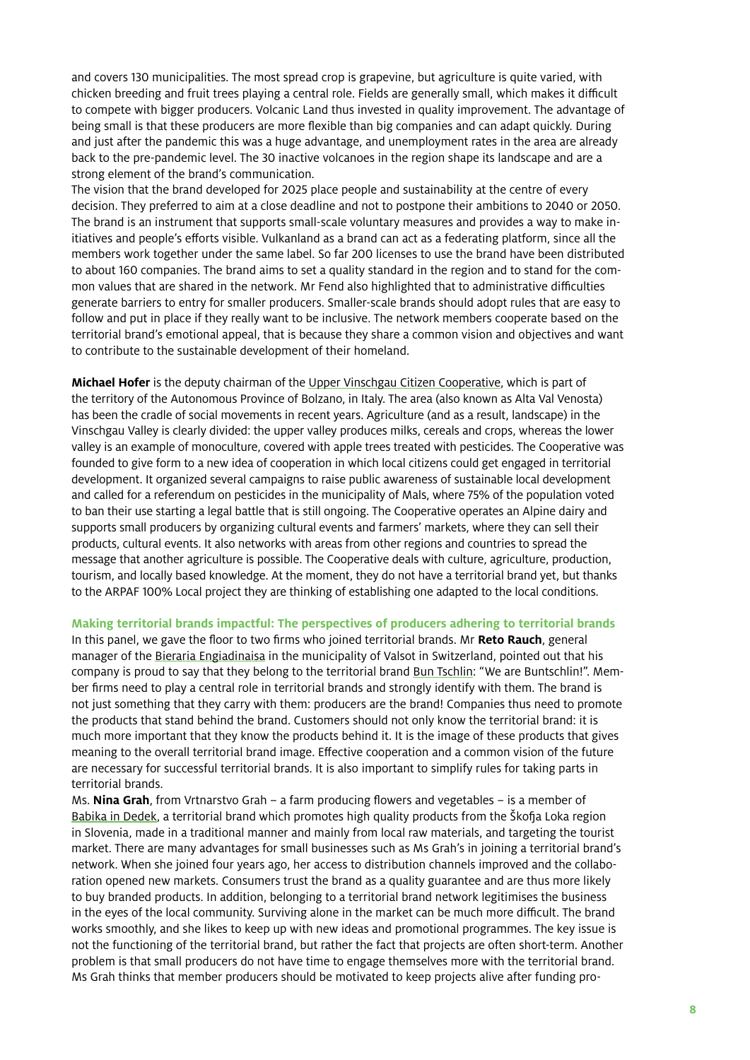and covers 130 municipalities. The most spread crop is grapevine, but agriculture is quite varied, with chicken breeding and fruit trees playing a central role. Fields are generally small, which makes it difficult to compete with bigger producers. Volcanic Land thus invested in quality improvement. The advantage of being small is that these producers are more flexible than big companies and can adapt quickly. During and just after the pandemic this was a huge advantage, and unemployment rates in the area are already back to the pre-pandemic level. The 30 inactive volcanoes in the region shape its landscape and are a strong element of the brand's communication.

The vision that the brand developed for 2025 place people and sustainability at the centre of every decision. They preferred to aim at a close deadline and not to postpone their ambitions to 2040 or 2050. The brand is an instrument that supports small-scale voluntary measures and provides a way to make initiatives and people's efforts visible. Vulkanland as a brand can act as a federating platform, since all the members work together under the same label. So far 200 licenses to use the brand have been distributed to about 160 companies. The brand aims to set a quality standard in the region and to stand for the common values that are shared in the network. Mr Fend also highlighted that to administrative difficulties generate barriers to entry for smaller producers. Smaller-scale brands should adopt rules that are easy to follow and put in place if they really want to be inclusive. The network members cooperate based on the territorial brand's emotional appeal, that is because they share a common vision and objectives and want to contribute to the sustainable development of their homeland.

**Michael Hofer** is the deputy chairman of the [Upper Vinschgau Citizen Cooperative](https://da.bz.it/english/info.html), which is part of the territory of the Autonomous Province of Bolzano, in Italy. The area (also known as Alta Val Venosta) has been the cradle of social movements in recent years. Agriculture (and as a result, landscape) in the Vinschgau Valley is clearly divided: the upper valley produces milks, cereals and crops, whereas the lower valley is an example of monoculture, covered with apple trees treated with pesticides. The Cooperative was founded to give form to a new idea of cooperation in which local citizens could get engaged in territorial development. It organized several campaigns to raise public awareness of sustainable local development and called for a referendum on pesticides in the municipality of Mals, where 75% of the population voted to ban their use starting a legal battle that is still ongoing. The Cooperative operates an Alpine dairy and supports small producers by organizing cultural events and farmers' markets, where they can sell their products, cultural events. It also networks with areas from other regions and countries to spread the message that another agriculture is possible. The Cooperative deals with culture, agriculture, production, tourism, and locally based knowledge. At the moment, they do not have a territorial brand yet, but thanks to the ARPAF 100% Local project they are thinking of establishing one adapted to the local conditions.

#### **Making territorial brands impactful: The perspectives of producers adhering to territorial brands**

In this panel, we gave the floor to two firms who joined territorial brands. Mr **Reto Rauch**, general manager of the [Bieraria Engiadinaisa](https://www.bieraria.ch) in the municipality of Valsot in Switzerland, pointed out that his company is proud to say that they belong to the territorial brand [Bun Tschlin](https://buntschlin.ch): "We are Buntschlin!". Member firms need to play a central role in territorial brands and strongly identify with them. The brand is not just something that they carry with them: producers are the brand! Companies thus need to promote the products that stand behind the brand. Customers should not only know the territorial brand: it is much more important that they know the products behind it. It is the image of these products that gives meaning to the overall territorial brand image. Effective cooperation and a common vision of the future are necessary for successful territorial brands. It is also important to simplify rules for taking parts in territorial brands.

Ms. **Nina Grah**, from Vrtnarstvo Grah – a farm producing flowers and vegetables – is a member of [Babika in Dedek,](https://babicadedek.si/en/) a territorial brand which promotes high quality products from the Škofja Loka region in Slovenia, made in a traditional manner and mainly from local raw materials, and targeting the tourist market. There are many advantages for small businesses such as Ms Grah's in joining a territorial brand's network. When she joined four years ago, her access to distribution channels improved and the collaboration opened new markets. Consumers trust the brand as a quality guarantee and are thus more likely to buy branded products. In addition, belonging to a territorial brand network legitimises the business in the eyes of the local community. Surviving alone in the market can be much more difficult. The brand works smoothly, and she likes to keep up with new ideas and promotional programmes. The key issue is not the functioning of the territorial brand, but rather the fact that projects are often short-term. Another problem is that small producers do not have time to engage themselves more with the territorial brand. Ms Grah thinks that member producers should be motivated to keep projects alive after funding pro-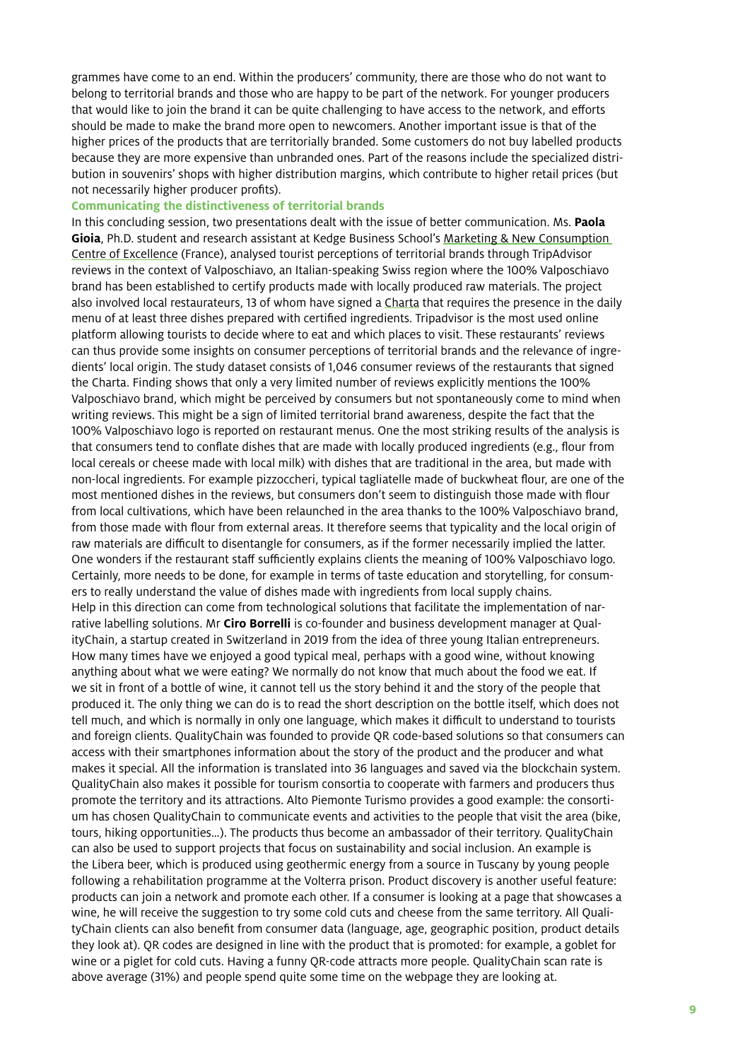grammes have come to an end. Within the producers' community, there are those who do not want to belong to territorial brands and those who are happy to be part of the network. For younger producers that would like to join the brand it can be quite challenging to have access to the network, and efforts should be made to make the brand more open to newcomers. Another important issue is that of the higher prices of the products that are territorially branded. Some customers do not buy labelled products because they are more expensive than unbranded ones. Part of the reasons include the specialized distribution in souvenirs' shops with higher distribution margins, which contribute to higher retail prices (but not necessarily higher producer profits).

#### **Communicating the distinctiveness of territorial brands**

In this concluding session, two presentations dealt with the issue of better communication. Ms. **Paola**  Gioia, Ph.D. student and research assistant at Kedge Business School's Marketing & New Consumption [Centre of Excellence](https://student.kedge.edu/faculty/research-intellectual-contributions/centres-of-excellence/marketing-new-consumption) (France), analysed tourist perceptions of territorial brands through TripAdvisor reviews in the context of Valposchiavo, an Italian-speaking Swiss region where the 100% Valposchiavo brand has been established to certify products made with locally produced raw materials. The project also involved local restaurateurs, 13 of whom have signed a [Charta](https://www.valposchiavo.ch/it/vivi/100-valposchiavo/charta) that requires the presence in the daily menu of at least three dishes prepared with certified ingredients. Tripadvisor is the most used online platform allowing tourists to decide where to eat and which places to visit. These restaurants' reviews can thus provide some insights on consumer perceptions of territorial brands and the relevance of ingredients' local origin. The study dataset consists of 1,046 consumer reviews of the restaurants that signed the Charta. Finding shows that only a very limited number of reviews explicitly mentions the 100% Valposchiavo brand, which might be perceived by consumers but not spontaneously come to mind when writing reviews. This might be a sign of limited territorial brand awareness, despite the fact that the 100% Valposchiavo logo is reported on restaurant menus. One the most striking results of the analysis is that consumers tend to conflate dishes that are made with locally produced ingredients (e.g., flour from local cereals or cheese made with local milk) with dishes that are traditional in the area, but made with non-local ingredients. For example pizzoccheri, typical tagliatelle made of buckwheat flour, are one of the most mentioned dishes in the reviews, but consumers don't seem to distinguish those made with flour from local cultivations, which have been relaunched in the area thanks to the 100% Valposchiavo brand, from those made with flour from external areas. It therefore seems that typicality and the local origin of raw materials are difficult to disentangle for consumers, as if the former necessarily implied the latter. One wonders if the restaurant staff sufficiently explains clients the meaning of 100% Valposchiavo logo. Certainly, more needs to be done, for example in terms of taste education and storytelling, for consumers to really understand the value of dishes made with ingredients from local supply chains. Help in this direction can come from technological solutions that facilitate the implementation of narrative labelling solutions. Mr **Ciro Borrelli** is co-founder and business development manager at QualityChain, a startup created in Switzerland in 2019 from the idea of three young Italian entrepreneurs. How many times have we enjoyed a good typical meal, perhaps with a good wine, without knowing anything about what we were eating? We normally do not know that much about the food we eat. If we sit in front of a bottle of wine, it cannot tell us the story behind it and the story of the people that produced it. The only thing we can do is to read the short description on the bottle itself, which does not tell much, and which is normally in only one language, which makes it difficult to understand to tourists and foreign clients. QualityChain was founded to provide QR code-based solutions so that consumers can access with their smartphones information about the story of the product and the producer and what makes it special. All the information is translated into 36 languages and saved via the blockchain system. QualityChain also makes it possible for tourism consortia to cooperate with farmers and producers thus promote the territory and its attractions. Alto Piemonte Turismo provides a good example: the consortium has chosen QualityChain to communicate events and activities to the people that visit the area (bike, tours, hiking opportunities…). The products thus become an ambassador of their territory. QualityChain can also be used to support projects that focus on sustainability and social inclusion. An example is the Libera beer, which is produced using geothermic energy from a source in Tuscany by young people following a rehabilitation programme at the Volterra prison. Product discovery is another useful feature: products can join a network and promote each other. If a consumer is looking at a page that showcases a wine, he will receive the suggestion to try some cold cuts and cheese from the same territory. All QualityChain clients can also benefit from consumer data (language, age, geographic position, product details they look at). QR codes are designed in line with the product that is promoted: for example, a goblet for wine or a piglet for cold cuts. Having a funny QR-code attracts more people. QualityChain scan rate is above average (31%) and people spend quite some time on the webpage they are looking at.